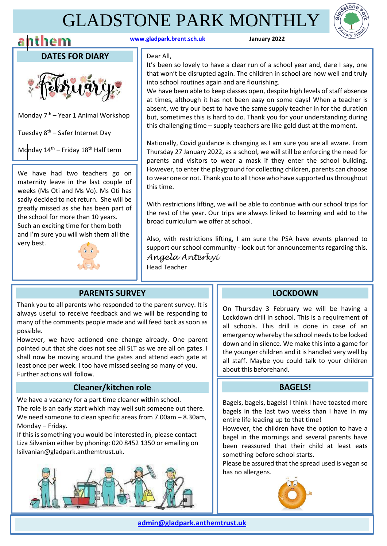# GLADSTONE PARK MONTHLY





**DATES FOR DIARY**



Monday  $7<sup>th</sup>$  – Year 1 Animal Workshop

Tuesday  $8<sup>th</sup>$  – Safer Internet Day

Monday  $14^{th}$  – Friday  $18^{th}$  Half term

We have had two teachers go on maternity leave in the last couple of weeks (Ms Oti and Ms Vo). Ms Oti has sadly decided to not return. She will be greatly missed as she has been part of the school for more than 10 years. Such an exciting time for them both and I'm sure you will wish them all the very best.



Dear All,

It's been so lovely to have a clear run of a school year and, dare I say, one that won't be disrupted again. The children in school are now well and truly into school routines again and are flourishing.

We have been able to keep classes open, despite high levels of staff absence at times, although it has not been easy on some days! When a teacher is absent, we try our best to have the same supply teacher in for the duration but, sometimes this is hard to do. Thank you for your understanding during this challenging time – supply teachers are like gold dust at the moment.

Nationally, Covid guidance is changing as I am sure you are all aware. From Thursday 27 January 2022, as a school, we will still be enforcing the need for parents and visitors to wear a mask if they enter the school building. However, to enter the playground for collecting children, parents can choose to wear one or not. Thank you to all those who have supported us throughout this time.

With restrictions lifting, we will be able to continue with our school trips for the rest of the year. Our trips are always linked to learning and add to the broad curriculum we offer at school.

Also, with restrictions lifting, I am sure the PSA have events planned to support our school community - look out for announcements regarding this. *Angela Anterkyi*  Head Teacher

### **PARENTS SURVEY**

Thank you to all parents who responded to the parent survey. It is always useful to receive feedback and we will be responding to many of the comments people made and will feed back as soon as possible.

However, we have actioned one change already. One parent pointed out that she does not see all SLT as we are all on gates. I shall now be moving around the gates and attend each gate at least once per week. I too have missed seeing so many of you. Further actions will follow.

#### **Cleaner/kitchen role**

We have a vacancy for a part time cleaner within school. The role is an early start which may well suit someone out there. We need someone to clean specific areas from 7.00am – 8.30am, Monday – Friday.

If this is something you would be interested in, please contact Liza Silvanian either by phoning: 020 8452 1350 or emailing on lsilvanian@gladpark.anthemtrust.uk.



 $\overline{a}$ 

### **LOCKDOWN**

On Thursday 3 February we will be having a Lockdown drill in school. This is a requirement of all schools. This drill is done in case of an emergency whereby the school needs to be locked down and in silence. We make this into a game for the younger children and it is handled very well by all staff. Maybe you could talk to your children about this beforehand.

### **BAGELS!**

Bagels, bagels, bagels! I think I have toasted more bagels in the last two weeks than I have in my entire life leading up to that time!

However, the children have the option to have a bagel in the mornings and several parents have been reassured that their child at least eats something before school starts.

Please be assured that the spread used is vegan so has no allergens.

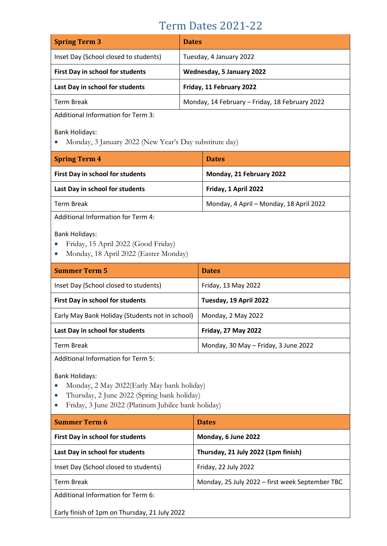## Term Dates 2021-22

| <b>Spring Term 3</b>                  | <b>Dates</b>                                   |
|---------------------------------------|------------------------------------------------|
| Inset Day (School closed to students) | Tuesday, 4 January 2022                        |
| First Day in school for students      | Wednesday, 5 January 2022                      |
| Last Day in school for students       | Friday, 11 February 2022                       |
| Term Break                            | Monday, 14 February - Friday, 18 February 2022 |

Additional Information for Term 3:

Bank Holidays:

• Monday, 3 January 2022 (New Year's Day substitute day)

| <b>Spring Term 4</b>             | <b>Dates</b>                            |
|----------------------------------|-----------------------------------------|
| First Day in school for students | Monday, 21 February 2022                |
| Last Day in school for students  | Friday, 1 April 2022                    |
| Term Break                       | Monday, 4 April - Monday, 18 April 2022 |

Additional Information for Term 4:

Bank Holidays:

- Friday, 15 April 2022 (Good Friday)
- Monday, 18 April 2022 (Easter Monday)

| <b>Dates</b>                         |
|--------------------------------------|
| Friday, 13 May 2022                  |
| Tuesday, 19 April 2022               |
| Monday, 2 May 2022                   |
| <b>Friday, 27 May 2022</b>           |
| Monday, 30 May - Friday, 3 June 2022 |
|                                      |

Additional Information for Term 5:

Bank Holidays:

- Monday, 2 May 2022(Early May bank holiday)
- Thursday, 2 June 2022 (Spring bank holiday)
- Friday, 3 June 2022 (Platinum Jubilee bank holiday)

| <b>Summer Term 6</b>                          | <b>Dates</b>                                    |
|-----------------------------------------------|-------------------------------------------------|
| <b>First Day in school for students</b>       | Monday, 6 June 2022                             |
| Last Day in school for students               | Thursday, 21 July 2022 (1pm finish)             |
| Inset Day (School closed to students)         | Friday, 22 July 2022                            |
| <b>Term Break</b>                             | Monday, 25 July 2022 - first week September TBC |
| Additional Information for Term 6:            |                                                 |
| Early finish of 1pm on Thursday, 21 July 2022 |                                                 |